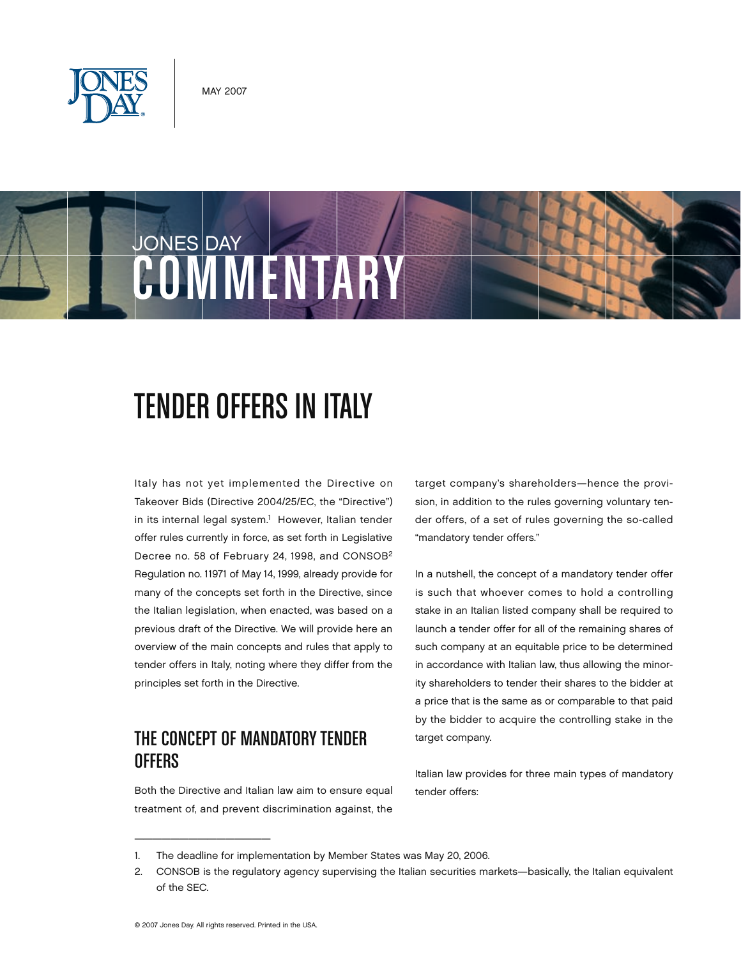



# **TENDER OFFERS IN ITALY**

Italy has not yet implemented the Directive on Takeover Bids (Directive 2004/25/EC, the "Directive") in its internal legal system.<sup>1</sup> However, Italian tender offer rules currently in force, as set forth in Legislative Decree no. 58 of February 24, 1998, and CONSOB2 Regulation no. 11971 of May 14, 1999, already provide for many of the concepts set forth in the Directive, since the Italian legislation, when enacted, was based on a previous draft of the Directive. We will provide here an overview of the main concepts and rules that apply to tender offers in Italy, noting where they differ from the principles set forth in the Directive.

### The Concept of Mandatory Tender **OFFFRS**

Both the Directive and Italian law aim to ensure equal treatment of, and prevent discrimination against, the

target company's shareholders—hence the provision, in addition to the rules governing voluntary tender offers, of a set of rules governing the so-called "mandatory tender offers."

In a nutshell, the concept of a mandatory tender offer is such that whoever comes to hold a controlling stake in an Italian listed company shall be required to launch a tender offer for all of the remaining shares of such company at an equitable price to be determined in accordance with Italian law, thus allowing the minority shareholders to tender their shares to the bidder at a price that is the same as or comparable to that paid by the bidder to acquire the controlling stake in the target company.

Italian law provides for three main types of mandatory tender offers:

\_\_\_\_\_\_\_\_\_\_\_\_\_\_\_

<sup>1.</sup> The deadline for implementation by Member States was May 20, 2006.

<sup>2.</sup> CONSOB is the regulatory agency supervising the Italian securities markets—basically, the Italian equivalent of the SEC.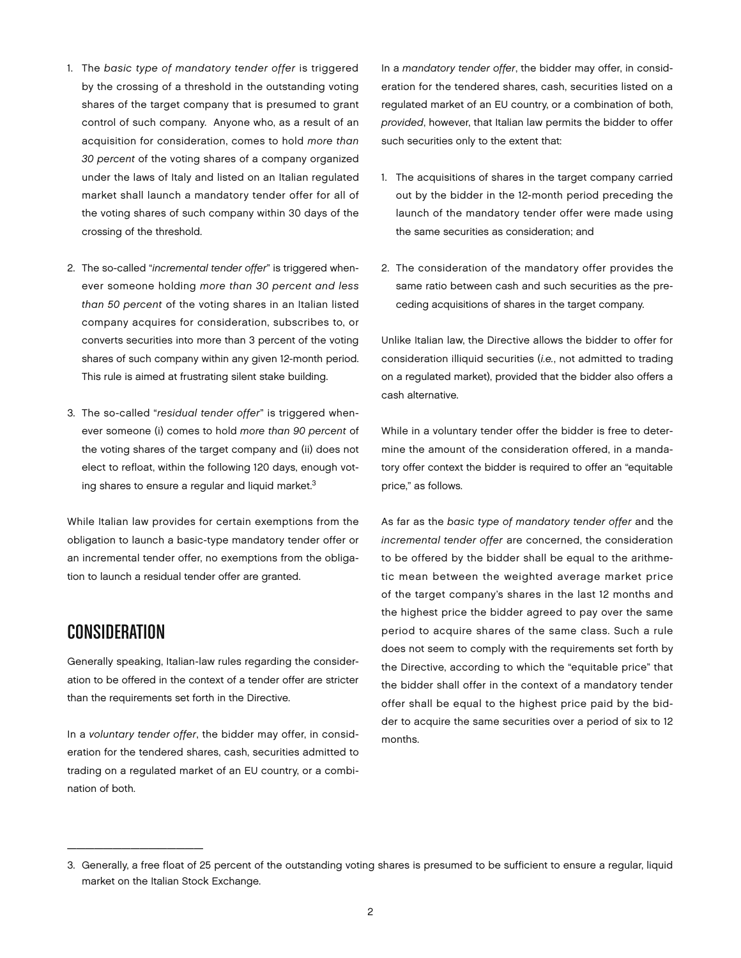- 1. The *basic type of mandatory tender offer* is triggered by the crossing of a threshold in the outstanding voting shares of the target company that is presumed to grant control of such company. Anyone who, as a result of an acquisition for consideration, comes to hold *more than 30 percent* of the voting shares of a company organized under the laws of Italy and listed on an Italian regulated market shall launch a mandatory tender offer for all of the voting shares of such company within 30 days of the crossing of the threshold.
- 2. The so-called "*incremental tender offer*" is triggered whenever someone holding *more than 30 percent and less than 50 percent* of the voting shares in an Italian listed company acquires for consideration, subscribes to, or converts securities into more than 3 percent of the voting shares of such company within any given 12-month period. This rule is aimed at frustrating silent stake building.
- 3. The so-called "*residual tender offer*" is triggered whenever someone (i) comes to hold *more than 90 percent* of the voting shares of the target company and (ii) does not elect to refloat, within the following 120 days, enough voting shares to ensure a regular and liquid market.<sup>3</sup>

While Italian law provides for certain exemptions from the obligation to launch a basic-type mandatory tender offer or an incremental tender offer, no exemptions from the obligation to launch a residual tender offer are granted.

#### **CONSIDERATION**

 $\frac{1}{2}$  ,  $\frac{1}{2}$  ,  $\frac{1}{2}$  ,  $\frac{1}{2}$  ,  $\frac{1}{2}$  ,  $\frac{1}{2}$  ,  $\frac{1}{2}$  ,  $\frac{1}{2}$  ,  $\frac{1}{2}$  ,  $\frac{1}{2}$  ,  $\frac{1}{2}$  ,  $\frac{1}{2}$  ,  $\frac{1}{2}$  ,  $\frac{1}{2}$  ,  $\frac{1}{2}$  ,  $\frac{1}{2}$  ,  $\frac{1}{2}$  ,  $\frac{1}{2}$  ,  $\frac{1$ 

Generally speaking, Italian-law rules regarding the consideration to be offered in the context of a tender offer are stricter than the requirements set forth in the Directive.

In a *voluntary tender offer*, the bidder may offer, in consideration for the tendered shares, cash, securities admitted to trading on a regulated market of an EU country, or a combination of both.

In a *mandatory tender offer*, the bidder may offer, in consideration for the tendered shares, cash, securities listed on a regulated market of an EU country, or a combination of both, *provided*, however, that Italian law permits the bidder to offer such securities only to the extent that:

- 1. The acquisitions of shares in the target company carried out by the bidder in the 12-month period preceding the launch of the mandatory tender offer were made using the same securities as consideration; and
- 2. The consideration of the mandatory offer provides the same ratio between cash and such securities as the preceding acquisitions of shares in the target company.

Unlike Italian law, the Directive allows the bidder to offer for consideration illiquid securities (*i.e.*, not admitted to trading on a regulated market), provided that the bidder also offers a cash alternative.

While in a voluntary tender offer the bidder is free to determine the amount of the consideration offered, in a mandatory offer context the bidder is required to offer an "equitable price," as follows.

As far as the *basic type of mandatory tender offer* and the *incremental tender offer* are concerned, the consideration to be offered by the bidder shall be equal to the arithmetic mean between the weighted average market price of the target company's shares in the last 12 months and the highest price the bidder agreed to pay over the same period to acquire shares of the same class. Such a rule does not seem to comply with the requirements set forth by the Directive, according to which the "equitable price" that the bidder shall offer in the context of a mandatory tender offer shall be equal to the highest price paid by the bidder to acquire the same securities over a period of six to 12 months.

<sup>3.</sup> Generally, a free float of 25 percent of the outstanding voting shares is presumed to be sufficient to ensure a regular, liquid market on the Italian Stock Exchange.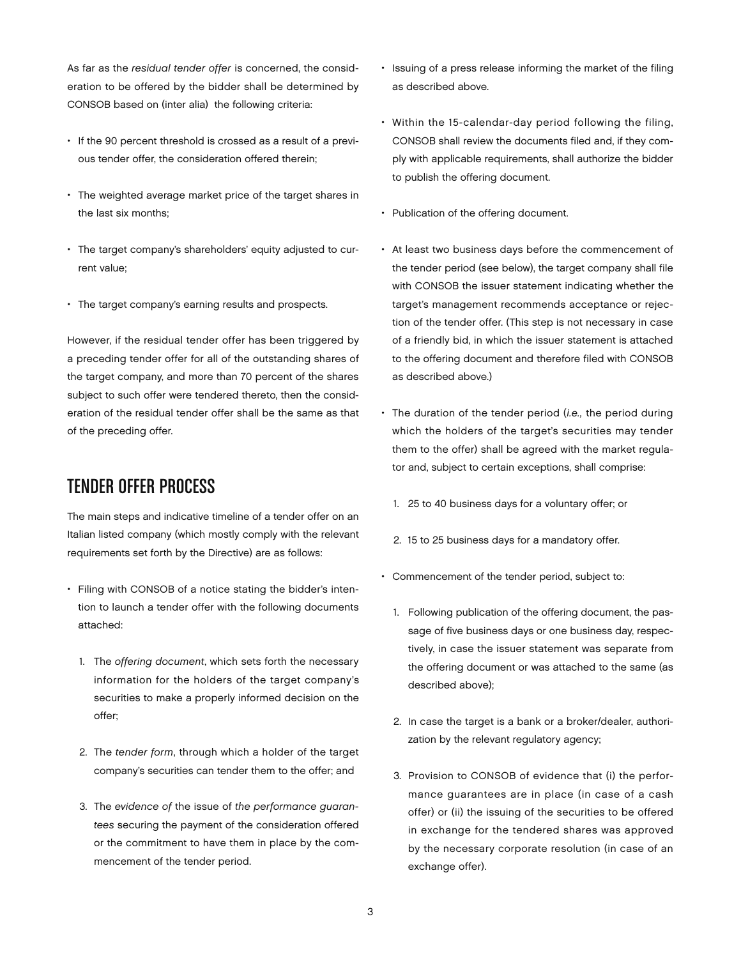As far as the *residual tender offer* is concerned, the consideration to be offered by the bidder shall be determined by CONSOB based on (inter alia) the following criteria:

- If the 90 percent threshold is crossed as a result of a previous tender offer, the consideration offered therein;
- The weighted average market price of the target shares in the last six months;
- The target company's shareholders' equity adjusted to current value;
- The target company's earning results and prospects.

However, if the residual tender offer has been triggered by a preceding tender offer for all of the outstanding shares of the target company, and more than 70 percent of the shares subject to such offer were tendered thereto, then the consideration of the residual tender offer shall be the same as that of the preceding offer.

#### Tender Offer Process

The main steps and indicative timeline of a tender offer on an Italian listed company (which mostly comply with the relevant requirements set forth by the Directive) are as follows:

- Filing with CONSOB of a notice stating the bidder's intention to launch a tender offer with the following documents attached:
	- 1. The *offering document*, which sets forth the necessary information for the holders of the target company's securities to make a properly informed decision on the offer;
	- 2. The *tender form*, through which a holder of the target company's securities can tender them to the offer; and
	- 3. The *evidence of* the issue of *the performance guarantees* securing the payment of the consideration offered or the commitment to have them in place by the commencement of the tender period.
- Issuing of a press release informing the market of the filing as described above.
- Within the 15-calendar-day period following the filing, CONSOB shall review the documents filed and, if they comply with applicable requirements, shall authorize the bidder to publish the offering document.
- Publication of the offering document.
- At least two business days before the commencement of the tender period (see below), the target company shall file with CONSOB the issuer statement indicating whether the target's management recommends acceptance or rejection of the tender offer. (This step is not necessary in case of a friendly bid, in which the issuer statement is attached to the offering document and therefore filed with CONSOB as described above.)
- The duration of the tender period (*i.e.,* the period during which the holders of the target's securities may tender them to the offer) shall be agreed with the market regulator and, subject to certain exceptions, shall comprise:
	- 1. 25 to 40 business days for a voluntary offer; or
	- 2. 15 to 25 business days for a mandatory offer.
- Commencement of the tender period, subject to:
	- 1. Following publication of the offering document, the passage of five business days or one business day, respectively, in case the issuer statement was separate from the offering document or was attached to the same (as described above);
	- 2. In case the target is a bank or a broker/dealer, authorization by the relevant regulatory agency;
	- 3. Provision to CONSOB of evidence that (i) the performance guarantees are in place (in case of a cash offer) or (ii) the issuing of the securities to be offered in exchange for the tendered shares was approved by the necessary corporate resolution (in case of an exchange offer).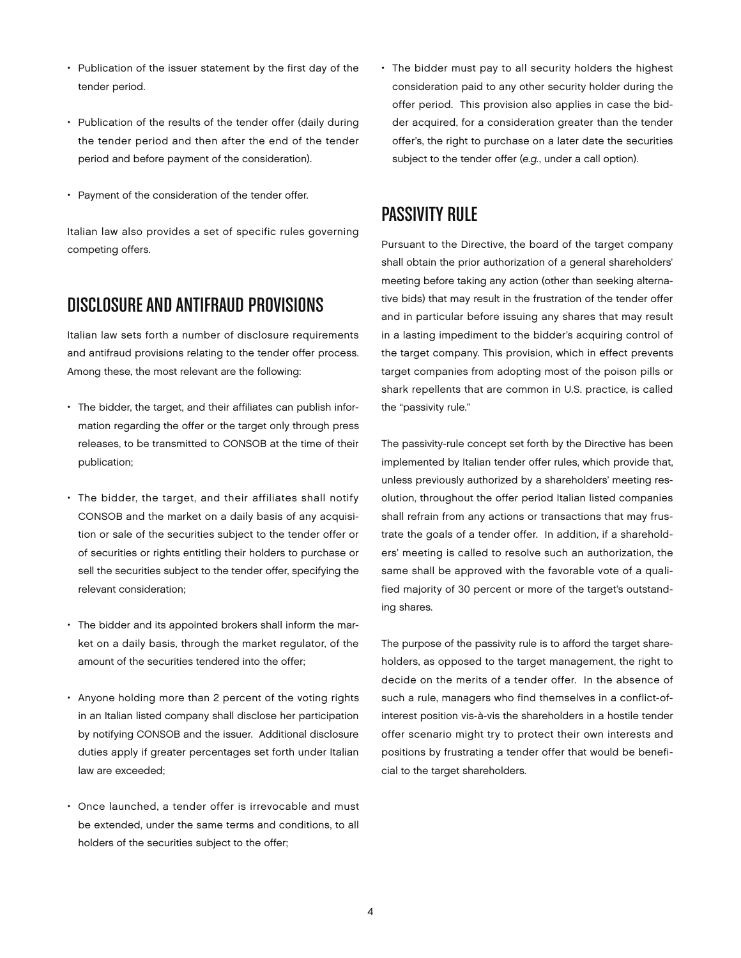- Publication of the issuer statement by the first day of the tender period.
- Publication of the results of the tender offer (daily during the tender period and then after the end of the tender period and before payment of the consideration).
- Payment of the consideration of the tender offer.

Italian law also provides a set of specific rules governing competing offers.

## Disclosure and Antifraud Provisions

Italian law sets forth a number of disclosure requirements and antifraud provisions relating to the tender offer process. Among these, the most relevant are the following:

- The bidder, the target, and their affiliates can publish information regarding the offer or the target only through press releases, to be transmitted to CONSOB at the time of their publication;
- The bidder, the target, and their affiliates shall notify CONSOB and the market on a daily basis of any acquisition or sale of the securities subject to the tender offer or of securities or rights entitling their holders to purchase or sell the securities subject to the tender offer, specifying the relevant consideration;
- The bidder and its appointed brokers shall inform the market on a daily basis, through the market regulator, of the amount of the securities tendered into the offer;
- Anyone holding more than 2 percent of the voting rights in an Italian listed company shall disclose her participation by notifying CONSOB and the issuer. Additional disclosure duties apply if greater percentages set forth under Italian law are exceeded;
- Once launched, a tender offer is irrevocable and must be extended, under the same terms and conditions, to all holders of the securities subject to the offer;

• The bidder must pay to all security holders the highest consideration paid to any other security holder during the offer period. This provision also applies in case the bidder acquired, for a consideration greater than the tender offer's, the right to purchase on a later date the securities subject to the tender offer (*e.g.*, under a call option).

#### Passivity Rule

Pursuant to the Directive, the board of the target company shall obtain the prior authorization of a general shareholders' meeting before taking any action (other than seeking alternative bids) that may result in the frustration of the tender offer and in particular before issuing any shares that may result in a lasting impediment to the bidder's acquiring control of the target company. This provision, which in effect prevents target companies from adopting most of the poison pills or shark repellents that are common in U.S. practice, is called the "passivity rule."

The passivity-rule concept set forth by the Directive has been implemented by Italian tender offer rules, which provide that, unless previously authorized by a shareholders' meeting resolution, throughout the offer period Italian listed companies shall refrain from any actions or transactions that may frustrate the goals of a tender offer. In addition, if a shareholders' meeting is called to resolve such an authorization, the same shall be approved with the favorable vote of a qualified majority of 30 percent or more of the target's outstanding shares.

The purpose of the passivity rule is to afford the target shareholders, as opposed to the target management, the right to decide on the merits of a tender offer. In the absence of such a rule, managers who find themselves in a conflict-ofinterest position vis-à-vis the shareholders in a hostile tender offer scenario might try to protect their own interests and positions by frustrating a tender offer that would be beneficial to the target shareholders.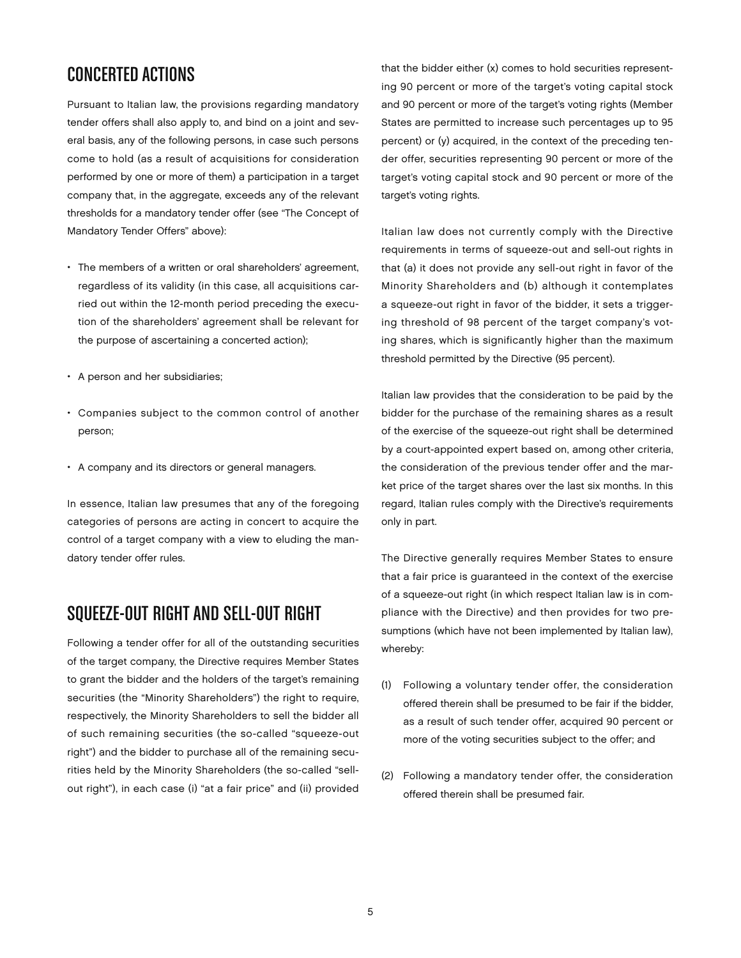## Concerted Actions

Pursuant to Italian law, the provisions regarding mandatory tender offers shall also apply to, and bind on a joint and several basis, any of the following persons, in case such persons come to hold (as a result of acquisitions for consideration performed by one or more of them) a participation in a target company that, in the aggregate, exceeds any of the relevant thresholds for a mandatory tender offer (see "The Concept of Mandatory Tender Offers" above):

- The members of a written or oral shareholders' agreement, regardless of its validity (in this case, all acquisitions carried out within the 12-month period preceding the execution of the shareholders' agreement shall be relevant for the purpose of ascertaining a concerted action);
- A person and her subsidiaries;
- Companies subject to the common control of another person;
- A company and its directors or general managers.

In essence, Italian law presumes that any of the foregoing categories of persons are acting in concert to acquire the control of a target company with a view to eluding the mandatory tender offer rules.

## Squeeze-Out Right and Sell-Out Right

Following a tender offer for all of the outstanding securities of the target company, the Directive requires Member States to grant the bidder and the holders of the target's remaining securities (the "Minority Shareholders") the right to require, respectively, the Minority Shareholders to sell the bidder all of such remaining securities (the so-called "squeeze-out right") and the bidder to purchase all of the remaining securities held by the Minority Shareholders (the so-called "sellout right"), in each case (i) "at a fair price" and (ii) provided that the bidder either (x) comes to hold securities representing 90 percent or more of the target's voting capital stock and 90 percent or more of the target's voting rights (Member States are permitted to increase such percentages up to 95 percent) or (y) acquired, in the context of the preceding tender offer, securities representing 90 percent or more of the target's voting capital stock and 90 percent or more of the target's voting rights.

Italian law does not currently comply with the Directive requirements in terms of squeeze-out and sell-out rights in that (a) it does not provide any sell-out right in favor of the Minority Shareholders and (b) although it contemplates a squeeze-out right in favor of the bidder, it sets a triggering threshold of 98 percent of the target company's voting shares, which is significantly higher than the maximum threshold permitted by the Directive (95 percent).

Italian law provides that the consideration to be paid by the bidder for the purchase of the remaining shares as a result of the exercise of the squeeze-out right shall be determined by a court-appointed expert based on, among other criteria, the consideration of the previous tender offer and the market price of the target shares over the last six months. In this regard, Italian rules comply with the Directive's requirements only in part.

The Directive generally requires Member States to ensure that a fair price is guaranteed in the context of the exercise of a squeeze-out right (in which respect Italian law is in compliance with the Directive) and then provides for two presumptions (which have not been implemented by Italian law), whereby:

- (1) Following a voluntary tender offer, the consideration offered therein shall be presumed to be fair if the bidder, as a result of such tender offer, acquired 90 percent or more of the voting securities subject to the offer; and
- (2) Following a mandatory tender offer, the consideration offered therein shall be presumed fair.